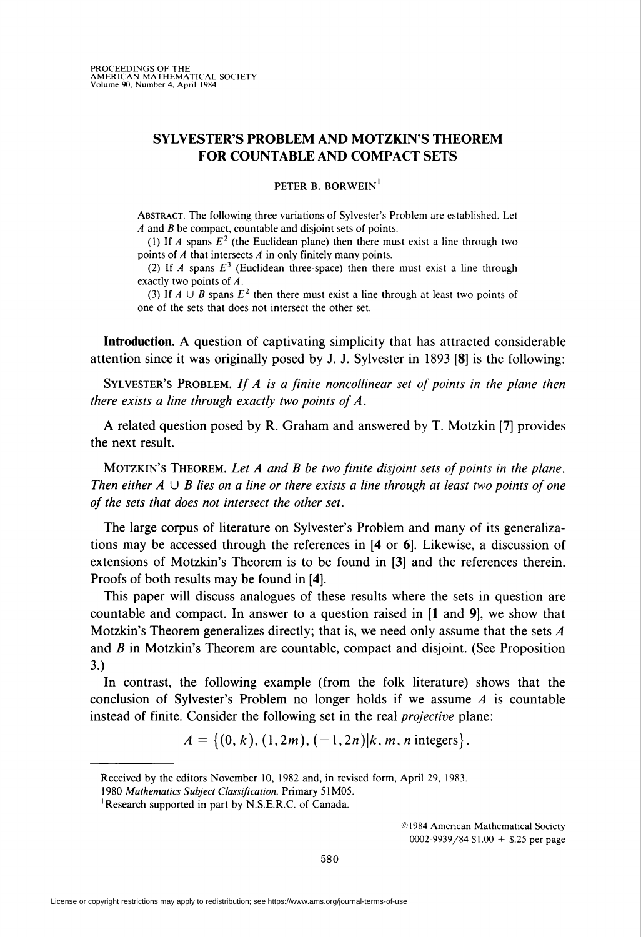## SYLVESTER'S PROBLEM AND MOTZKIN'S THEOREM FOR COUNTABLE AND COMPACT SETS

PETER B. BORWEIN<sup>1</sup>

Abstract. The following three variations of Sylvester's Problem are established. Let A and B be compact, countable and disjoint sets of points.

(1) If A spans  $E^2$  (the Euclidean plane) then there must exist a line through two points of A that intersects A in only finitely many points.

(2) If A spans  $E<sup>3</sup>$  (Euclidean three-space) then there must exist a line through exactly two points of A.

(3) If  $A \cup B$  spans  $E^2$  then there must exist a line through at least two points of one of the sets that does not intersect the other set.

Introduction. A question of captivating simplicity that has attracted considerable attention since it was originally posed by J. J. Sylvester in 1893 [8] is the following:

SYLVESTER'S PROBLEM. If  $A$  is a finite noncollinear set of points in the plane then there exists a line through exactly two points of  $A$ .

A related question posed by R. Graham and answered by T. Motzkin [7] provides the next result.

MOTZKIN'S THEOREM. Let  $A$  and  $B$  be two finite disjoint sets of points in the plane. Then either  $A \cup B$  lies on a line or there exists a line through at least two points of one of the sets that does not intersect the other set.

The large corpus of literature on Sylvester's Problem and many of its generalizations may be accessed through the references in [4 or 6]. Likewise, a discussion of extensions of Motzkin's Theorem is to be found in [3] and the references therein. Proofs of both results may be found in [4].

This paper will discuss analogues of these results where the sets in question are countable and compact. In answer to a question raised in [1 and 9], we show that Motzkin's Theorem generalizes directly; that is, we need only assume that the sets  $\vec{A}$ and B in Motzkin's Theorem are countable, compact and disjoint. (See Proposition 3.)

In contrast, the following example (from the folk literature) shows that the conclusion of Sylvester's Problem no longer holds if we assume  $A$  is countable instead of finite. Consider the following set in the real projective plane:

 $A = \{(0, k), (1, 2m), (-1, 2n)\vert k, m, n \text{ integers}\}.$ 

©1984 American Mathematical Society 0002-9939/84 \$1.00 + \$.25 per page

Received by the editors November 10, 1982 and, in revised form, April 29, 1983.

<sup>1980</sup> Mathematics Subject Classification. Primary 51M05.

<sup>&#</sup>x27;Research supported in part by N.S.E.R.C. of Canada.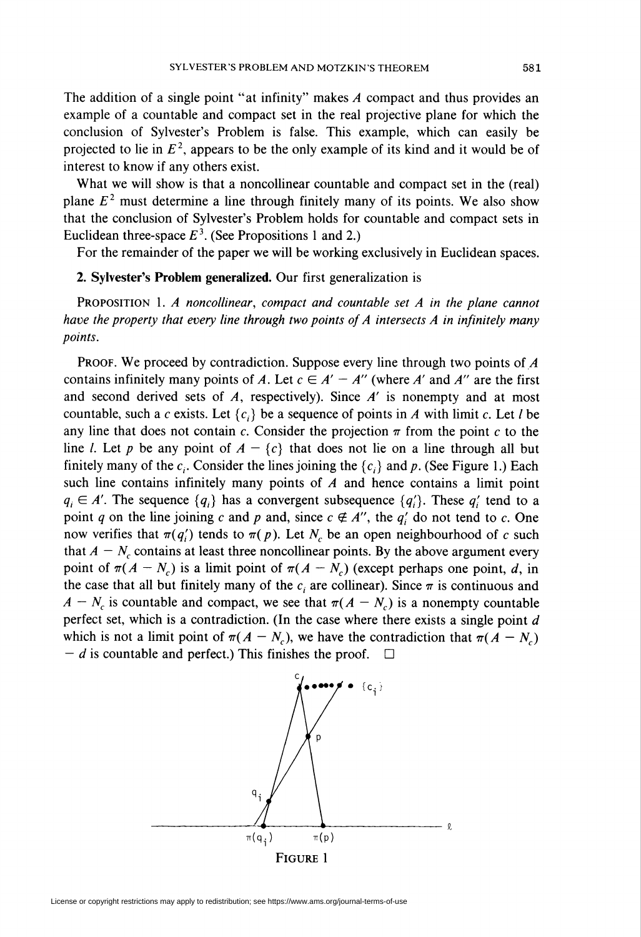The addition of a single point "at infinity" makes A compact and thus provides an example of a countable and compact set in the real projective plane for which the conclusion of Sylvester's Problem is false. This example, which can easily be projected to lie in  $E^2$ , appears to be the only example of its kind and it would be of interest to know if any others exist.

What we will show is that a noncollinear countable and compact set in the (real) plane  $E<sup>2</sup>$  must determine a line through finitely many of its points. We also show that the conclusion of Sylvester's Problem holds for countable and compact sets in Euclidean three-space  $E<sup>3</sup>$ . (See Propositions 1 and 2.)

For the remainder of the paper we will be working exclusively in Euclidean spaces.

## 2. Sylvester's Problem generalized. Our first generalization is

Proposition 1. A noncollinear, compact and countable set A in the plane cannot have the property that every line through two points of  $A$  intersects  $A$  in infinitely many points.

PROOF. We proceed by contradiction. Suppose every line through two points of A contains infinitely many points of A. Let  $c \in A' - A''$  (where A' and A'' are the first and second derived sets of  $A$ , respectively). Since  $A'$  is nonempty and at most countable, such a c exists. Let  $\{c_i\}$  be a sequence of points in A with limit c. Let l be any line that does not contain c. Consider the projection  $\pi$  from the point c to the line *l*. Let p be any point of  $A - \{c\}$  that does not lie on a line through all but finitely many of the  $c_i$ . Consider the lines joining the  $\{c_i\}$  and p. (See Figure 1.) Each such line contains infinitely many points of  $A$  and hence contains a limit point  $q_i \in A'$ . The sequence  $\{q_i\}$  has a convergent subsequence  $\{q'_i\}$ . These  $q'_i$  tend to a point q on the line joining c and p and, since  $c \notin A''$ , the q' do not tend to c. One now verifies that  $\pi(q_i)$  tends to  $\pi(p)$ . Let N<sub>c</sub> be an open neighbourhood of c such that  $A - N_c$  contains at least three noncollinear points. By the above argument every point of  $\pi(A - N_c)$  is a limit point of  $\pi(A - N_c)$  (except perhaps one point, d, in the case that all but finitely many of the  $c_i$  are collinear). Since  $\pi$  is continuous and  $A - N_c$  is countable and compact, we see that  $\pi(A - N_c)$  is a nonempty countable perfect set, which is a contradiction. (In the case where there exists a single point  $d$ which is not a limit point of  $\pi(A - N_c)$ , we have the contradiction that  $\pi(A - N_c)$  $-d$  is countable and perfect.) This finishes the proof.  $\square$ 

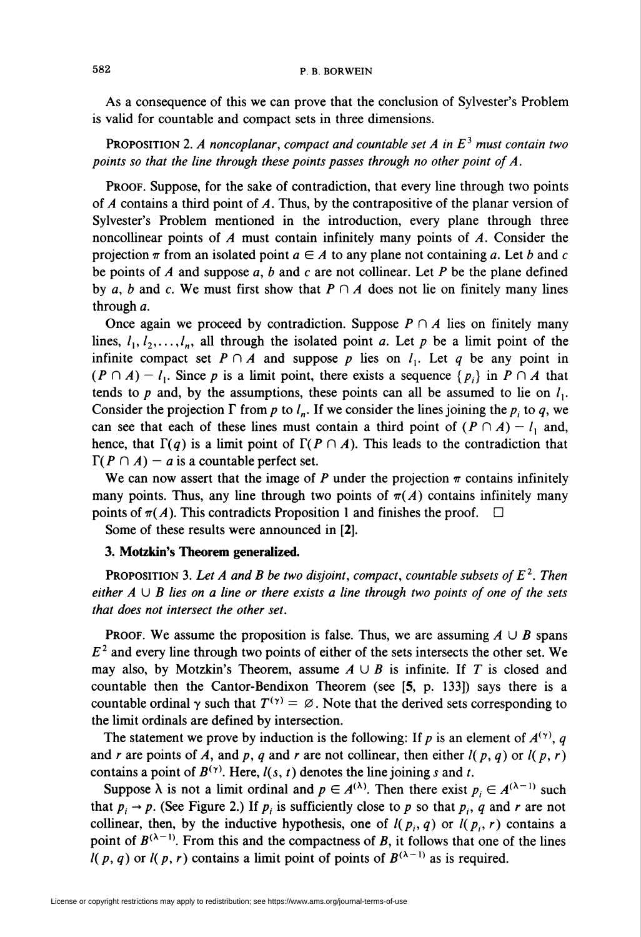As a consequence of this we can prove that the conclusion of Sylvester's Problem is valid for countable and compact sets in three dimensions.

PROPOSITION 2. A noncoplanar, compact and countable set A in  $E<sup>3</sup>$  must contain two points so that the line through these points passes through no other point of A.

PROOF. Suppose, for the sake of contradiction, that every line through two points of A contains a third point of A. Thus, by the contrapositive of the planar version of Sylvester's Problem mentioned in the introduction, every plane through three noncollinear points of  $A$  must contain infinitely many points of  $A$ . Consider the projection  $\pi$  from an isolated point  $a \in A$  to any plane not containing a. Let b and c be points of  $A$  and suppose  $a, b$  and  $c$  are not collinear. Let  $P$  be the plane defined by a, b and c. We must first show that  $P \cap A$  does not lie on finitely many lines through a.

Once again we proceed by contradiction. Suppose  $P \cap A$  lies on finitely many lines,  $l_1, l_2, \ldots, l_n$ , all through the isolated point a. Let p be a limit point of the infinite compact set  $P \cap A$  and suppose p lies on  $l_1$ . Let q be any point in  $(P \cap A) - l_1$ . Since p is a limit point, there exists a sequence  $\{p_i\}$  in  $P \cap A$  that tends to p and, by the assumptions, these points can all be assumed to lie on  $l_1$ . Consider the projection  $\Gamma$  from p to  $l_n$ . If we consider the lines joining the  $p_i$  to q, we can see that each of these lines must contain a third point of  $(P \cap A) - l_1$  and, hence, that  $\Gamma(q)$  is a limit point of  $\Gamma(P \cap A)$ . This leads to the contradiction that  $\Gamma(P \cap A)$  – a is a countable perfect set.

We can now assert that the image of P under the projection  $\pi$  contains infinitely many points. Thus, any line through two points of  $\pi(A)$  contains infinitely many points of  $\pi(A)$ . This contradicts Proposition 1 and finishes the proof.

Some of these results were announced in [2].

## 3. Motzkin's Theorem generalized.

**PROPOSITION 3. Let A and B be two disjoint, compact, countable subsets of**  $E^2$ **. Then** either  $A \cup B$  lies on a line or there exists a line through two points of one of the sets that does not intersect the other set.

**PROOF.** We assume the proposition is false. Thus, we are assuming  $A \cup B$  spans  $E<sup>2</sup>$  and every line through two points of either of the sets intersects the other set. We may also, by Motzkin's Theorem, assume  $A \cup B$  is infinite. If T is closed and countable then the Cantor-Bendixon Theorem (see [5, p. 133]) says there is a countable ordinal  $\gamma$  such that  $T^{(\gamma)} = \emptyset$ . Note that the derived sets corresponding to the limit ordinals are defined by intersection.

The statement we prove by induction is the following: If p is an element of  $A^{(\gamma)}$ , q and r are points of A, and p, q and r are not collinear, then either  $l(p,q)$  or  $l(p,r)$ contains a point of  $B^{(\gamma)}$ . Here,  $l(s, t)$  denotes the line joining s and t.

Suppose  $\lambda$  is not a limit ordinal and  $p \in A^{(\lambda)}$ . Then there exist  $p_i \in A^{(\lambda-1)}$  such that  $p_i \rightarrow p$ . (See Figure 2.) If  $p_i$  is sufficiently close to p so that  $p_i$ , q and r are not collinear, then, by the inductive hypothesis, one of  $l(p_i, q)$  or  $l(p_i, r)$  contains a point of  $B^{(\lambda-1)}$ . From this and the compactness of B, it follows that one of the lines  $l(p,q)$  or  $l(p,r)$  contains a limit point of points of  $B^{(\lambda-1)}$  as is required.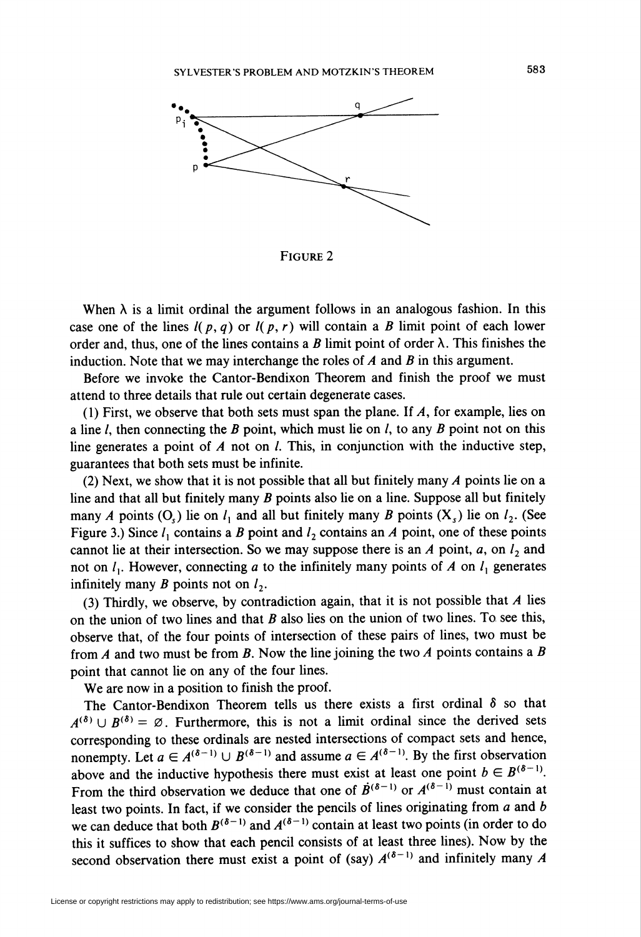

Figure 2

When  $\lambda$  is a limit ordinal the argument follows in an analogous fashion. In this case one of the lines  $l(p, q)$  or  $l(p, r)$  will contain a B limit point of each lower order and, thus, one of the lines contains a B limit point of order  $\lambda$ . This finishes the induction. Note that we may interchange the roles of  $A$  and  $B$  in this argument.

Before we invoke the Cantor-Bendixon Theorem and finish the proof we must attend to three details that rule out certain degenerate cases.

(1) First, we observe that both sets must span the plane. If A, for example, lies on a line  $l$ , then connecting the  $B$  point, which must lie on  $l$ , to any  $B$  point not on this line generates a point of  $A$  not on  $I$ . This, in conjunction with the inductive step, guarantees that both sets must be infinite.

(2) Next, we show that it is not possible that all but finitely many  $\overline{A}$  points lie on a line and that all but finitely many  $B$  points also lie on a line. Suppose all but finitely many A points (O<sub>c</sub>) lie on  $l_1$  and all but finitely many B points (X<sub>c</sub>) lie on  $l_2$ . (See Figure 3.) Since  $l_1$  contains a B point and  $l_2$  contains an A point, one of these points cannot lie at their intersection. So we may suppose there is an A point,  $a$ , on  $l_2$  and not on  $l_1$ . However, connecting a to the infinitely many points of A on  $l_1$  generates infinitely many B points not on  $l_2$ .

(3) Thirdly, we observe, by contradiction again, that it is not possible that  $A$  lies on the union of two lines and that  $B$  also lies on the union of two lines. To see this, observe that, of the four points of intersection of these pairs of lines, two must be from A and two must be from B. Now the line joining the two A points contains a B point that cannot lie on any of the four lines.

We are now in a position to finish the proof.

The Cantor-Bendixon Theorem tells us there exists a first ordinal  $\delta$  so that  $A^{(\delta)} \cup B^{(\delta)} = \emptyset$ . Furthermore, this is not a limit ordinal since the derived sets corresponding to these ordinals are nested intersections of compact sets and hence, nonempty. Let  $a \in A^{(\delta-1)} \cup B^{(\delta-1)}$  and assume  $a \in A^{(\delta-1)}$ . By the first observation above and the inductive hypothesis there must exist at least one point  $b \in B^{(\delta-1)}$ . From the third observation we deduce that one of  $\vec{B}^{(\delta-1)}$  or  $A^{(\delta-1)}$  must contain at least two points. In fact, if we consider the pencils of lines originating from  $a$  and  $b$ we can deduce that both  $B^{(\delta-1)}$  and  $A^{(\delta-1)}$  contain at least two points (in order to do this it suffices to show that each pencil consists of at least three lines). Now by the second observation there must exist a point of (say)  $A^{(\delta-1)}$  and infinitely many A